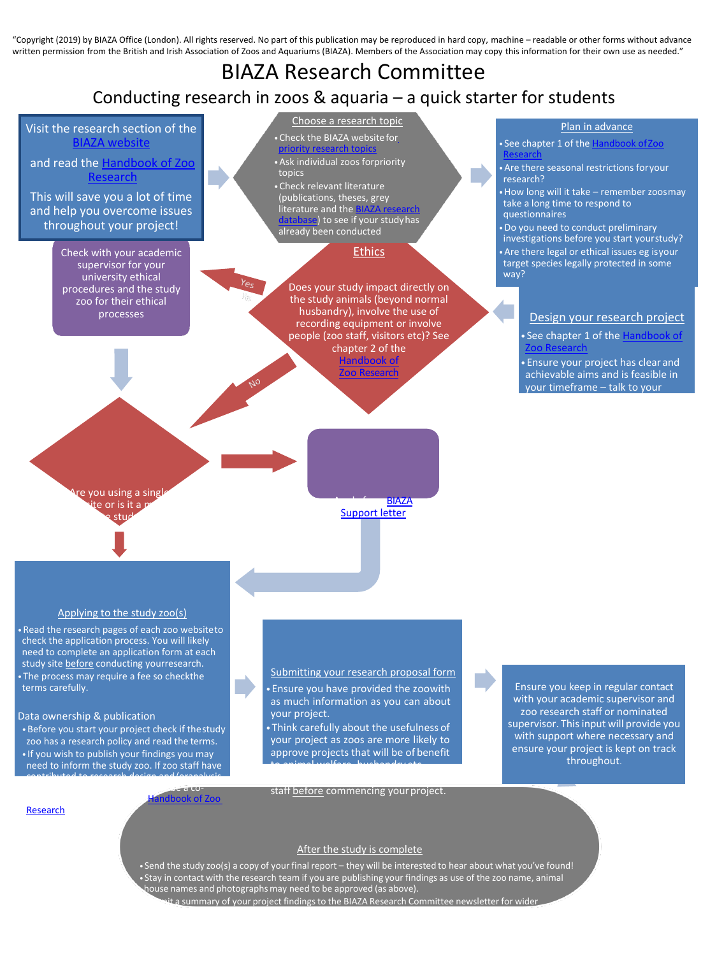"Copyright (2019) by BIAZA Office (London). All rights reserved. No part of this publication may be reproduced in hard copy, machine – readable or other forms without advance written permission from the British and Irish Association of Zoos and Aquariums (BIAZA). Members of the Association may copy this information for their own use as needed."

# Choose a research topic BIAZA Research Committee Conducting research in zoos & aquaria – a quick starter for students

# Visit the research section of the [BIAZA website](http://www.biaza.org.uk/Research)

and read the [Handbook of Zoo](https://biaza.org.uk/research-resources) [Research](https://biaza.org.uk/research-resources)

This will save you a lot of time and help you overcome issues throughout your project!

> Check with your academic supervisor for your university ethical procedures and the study zoo for their ethical processes

- •Check the BIAZA websitefo[r](https://biaza.org.uk/research-resources) [priority research topics](https://biaza.org.uk/research-resources) •Ask individual zoos forpriority topics
- •Check relevant literature (publications, theses, grey literature and the **[BIAZA research](https://biaza.org.uk/research-resources)** ase) to see if your studyhas already been conducted

Ethics

Does your study impact directly on the study animals (beyond normal husbandry), involve the use of recording equipment or involve people (zoo staff, visitors etc)? See chapter 2 of the Handbook [of](http://www.biaza.org.uk/uploads/Research/BIAZA%20Handbook%20of%20Zoo%20Research%202014%20FINAL.pdf) oo Research

## Plan in advance

```
• See chapter 1 of the Handbook of Zoo
Research
```
•Are there seasonal restrictions foryour research?

•How long will it take – remember zoosmay take a long time to respond to questionnaires

•Do you need to conduct preliminary investigations before you start yourstudy? •Are there legal or ethical issues eg isyour target species legally protected in some way?

## Design your research project

• See chapter 1 of the [Handbook of](https://biaza.org.uk/research-resources) Zoo [Research](https://biaza.org.uk/research-resources)

• Ensure your project has clearand achievable aims and is feasible in your timeframe – talk to your

e you using a singl e or is it a r a study

Multi-site Apply for a [BIAZA](https://biaza.org.uk/research-support) [Support](https://biaza.org.uk/research-support) letter

## Applying to the study zoo(s)

•Read the research pages of each zoo websiteto check the application process. You will likely need to complete an application form at each study site before conducting yourresearch. • The process may require a fee so checkthe terms carefully.

#### Data ownership & publication

**[Research](https://biaza.org.uk/research-resources)** 

•Before you start your project check if thestudy zoo has a research policy and read the terms. • If you wish to publish your findings you may need to inform the study zoo. If zoo staff have contributed to research design and/oranalysis

## Submitting your research proposal form

• Ensure you have provided the zoowith as much information as you can about your project.

• Think carefully about the usefulness of your project as zoos are more likely to approve projects that will be of benefit to animal welfare, husbandry etc.

Ensure you keep in regular contact with your academic supervisor and zoo research staff or nominated supervisor. This input will provide you with support where necessary and ensure your project is kept on track throughout.

#### and write up they may request to be a coandbook of Zoo

staff before commencing your project.

## After the study is complete

• Send the study zoo(s) a copy of your final report – they will be interested to hear about what you've found! • Stay in contact with the research team if you are publishing your findings as use of the zoo name, animal house names and photographs may need to be approved (as above). it a summary of your project findings to the BIAZA Research Committee newsletter for wider